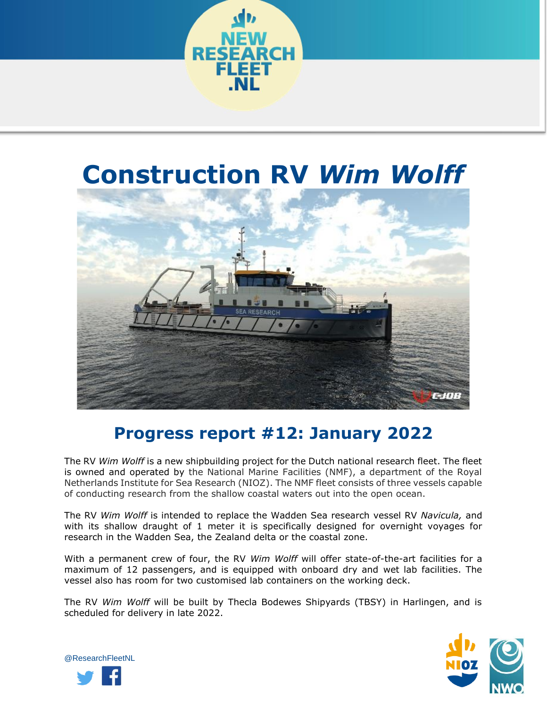

## **Construction RV** *Wim Wolff*



## **Progress report #12: January 2022**

The RV *Wim Wolff* is a new shipbuilding project for the Dutch national research fleet. The fleet is owned and operated by the National Marine Facilities (NMF), a department of the Royal Netherlands Institute for Sea Research (NIOZ). The NMF fleet consists of three vessels capable of conducting research from the shallow coastal waters out into the open ocean.

The RV *Wim Wolff* is intended to replace the Wadden Sea research vessel RV *Navicula,* and with its shallow draught of 1 meter it is specifically designed for overnight voyages for research in the Wadden Sea, the Zealand delta or the coastal zone.

With a permanent crew of four, the RV *Wim Wolff* will offer state-of-the-art facilities for a maximum of 12 passengers, and is equipped with onboard dry and wet lab facilities. The vessel also has room for two customised lab containers on the working deck.

The RV *Wim Wolff* will be built by Thecla Bodewes Shipyards (TBSY) in Harlingen, and is scheduled for delivery in late 2022.



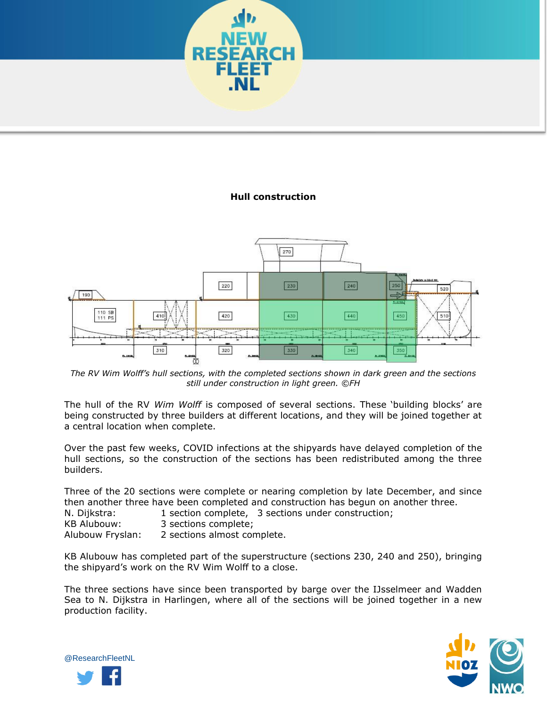

## **Hull construction**



*The RV Wim Wolff's hull sections, with the completed sections shown in dark green and the sections still under construction in light green. ©FH*

The hull of the RV *Wim Wolff* is composed of several sections. These 'building blocks' are being constructed by three builders at different locations, and they will be joined together at a central location when complete.

Over the past few weeks, COVID infections at the shipyards have delayed completion of the hull sections, so the construction of the sections has been redistributed among the three builders.

Three of the 20 sections were complete or nearing completion by late December, and since then another three have been completed and construction has begun on another three.

N. Dijkstra: 1 section complete, 3 sections under construction;

KB Alubouw: 3 sections complete;

Alubouw Fryslan: 2 sections almost complete.

KB Alubouw has completed part of the superstructure (sections 230, 240 and 250), bringing the shipyard's work on the RV Wim Wolff to a close.

The three sections have since been transported by barge over the IJsselmeer and Wadden Sea to N. Dijkstra in Harlingen, where all of the sections will be joined together in a new production facility.



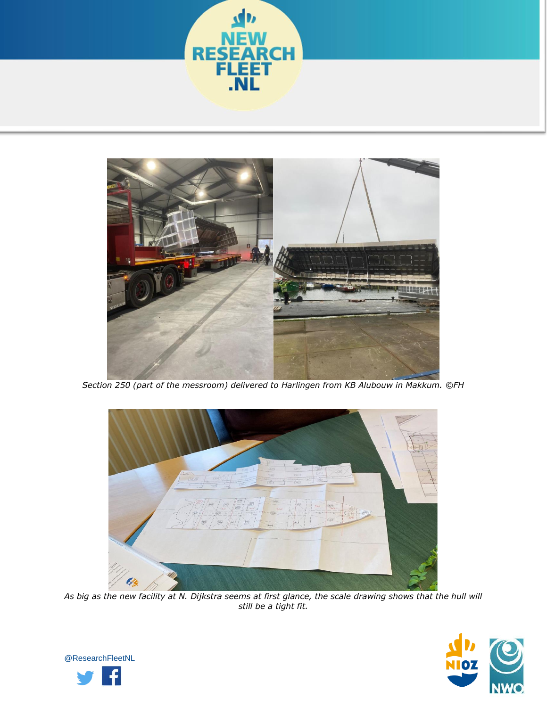



*Section 250 (part of the messroom) delivered to Harlingen from KB Alubouw in Makkum. ©FH*



*As big as the new facility at N. Dijkstra seems at first glance, the scale drawing shows that the hull will still be a tight fit.*



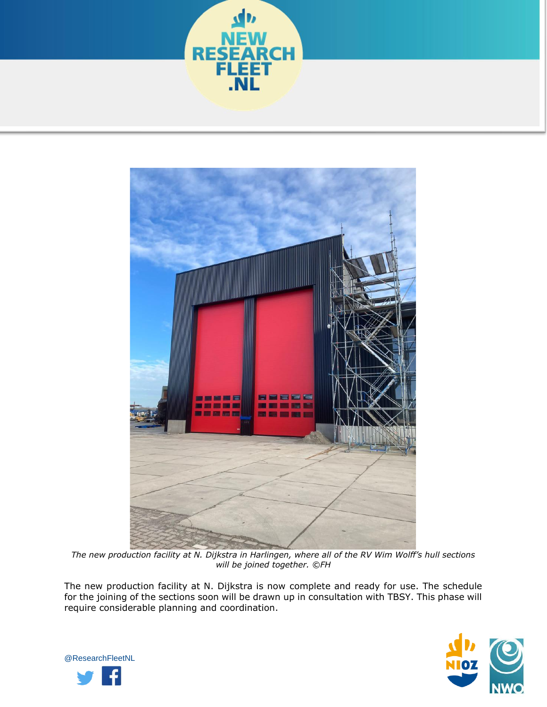



*The new production facility at N. Dijkstra in Harlingen, where all of the RV Wim Wolff's hull sections will be joined together. ©FH*

The new production facility at N. Dijkstra is now complete and ready for use. The schedule for the joining of the sections soon will be drawn up in consultation with TBSY. This phase will require considerable planning and coordination.